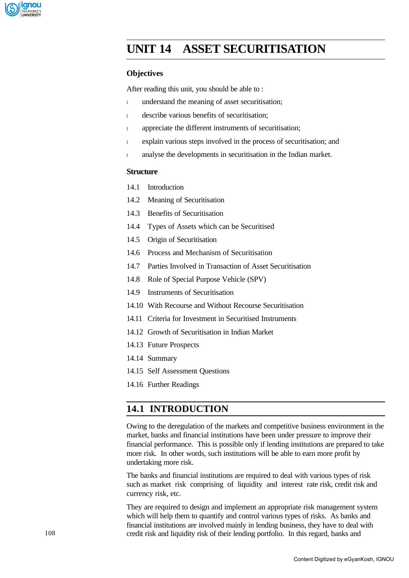

# **UNIT 14 ASSET SECURITISATION**

### **Objectives**

After reading this unit, you should be able to :

- <sup>l</sup> understand the meaning of asset securitisation;
- <sup>l</sup> describe various benefits of securitisation;
- <sup>l</sup> appreciate the different instruments of securitisation;
- <sup>l</sup> explain various steps involved in the process of securitisation; and
- <sup>l</sup> analyse the developments in securitisation in the Indian market.

### **Structure**

- 14.1 Introduction
- 14.2 Meaning of Securitisation
- 14.3 Benefits of Securitisation
- 14.4 Types of Assets which can be Securitised
- 14.5 Origin of Securitisation
- 14.6 Process and Mechanism of Securitisation
- 14.7 Parties Involved in Transaction of Asset Securitisation
- 14.8 Role of Special Purpose Vehicle (SPV)
- 14.9 Instruments of Securitisation
- 14.10 With Recourse and Without Recourse Securitisation
- 14.11 Criteria for Investment in Securitised Instruments
- 14.12 Growth of Securitisation in Indian Market
- 14.13 Future Prospects
- 14.14 Summary
- 14.15 Self Assessment Questions
- 14.16 Further Readings

# **14.1 INTRODUCTION**

Owing to the deregulation of the markets and competitive business environment in the market, banks and financial institutions have been under pressure to improve their financial performance. This is possible only if lending institutions are prepared to take more risk. In other words, such institutions will be able to earn more profit by undertaking more risk.

The banks and financial institutions are required to deal with various types of risk such as market risk comprising of liquidity and interest rate risk, credit risk and currency risk, etc.

They are required to design and implement an appropriate risk management system which will help them to quantify and control various types of risks. As banks and financial institutions are involved mainly in lending business, they have to deal with credit risk and liquidity risk of their lending portfolio. In this regard, banks and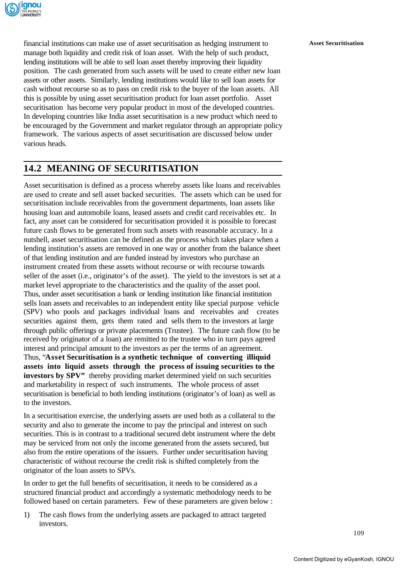

financial institutions can make use of asset securitisation as hedging instrument to **Asset Securitisation** manage both liquidity and credit risk of loan asset. With the help of such product, lending institutions will be able to sell loan asset thereby improving their liquidity position. The cash generated from such assets will be used to create either new loan assets or other assets. Similarly, lending institutions would like to sell loan assets for cash without recourse so as to pass on credit risk to the buyer of the loan assets. All this is possible by using asset securitisation product for loan asset portfolio. Asset securitisation has become very popular product in most of the developed countries. In developing countries like India asset securitisation is a new product which need to be encouraged by the Government and market regulator through an appropriate policy framework. The various aspects of asset securitisation are discussed below under various heads.

# **14.2 MEANING OF SECURITISATION**

Asset securitisation is defined as a process whereby assets like loans and receivables are used to create and sell asset backed securities. The assets which can be used for securitisation include receivables from the government departments, loan assets like housing loan and automobile loans, leased assets and credit card receivables etc. In fact, any asset can be considered for securitisation provided it is possible to forecast future cash flows to be generated from such assets with reasonable accuracy. In a nutshell, asset securitisation can be defined as the process which takes place when a lending institution's assets are removed in one way or another from the balance sheet of that lending institution and are funded instead by investors who purchase an instrument created from these assets without recourse or with recourse towards seller of the asset (i.e., originator's of the asset). The yield to the investors is set at a market level appropriate to the characteristics and the quality of the asset pool. Thus, under asset securitisation a bank or lending institution like financial institution sells loan assets and receivables to an independent entity like special purpose vehicle (SPV) who pools and packages individual loans and receivables and creates securities against them, gets them rated and sells them to the investors at large through public offerings or private placements (Trustee). The future cash flow (to be received by originator of a loan) are remitted to the trustee who in turn pays agreed interest and principal amount to the investors as per the terms of an agreement. Thus, "**Asset Securitisation is a synthetic technique of converting illiquid assets into liquid assets through the process of issuing securities to the investors by SPV"** thereby providing market determined yield on such securities and marketability in respect of such instruments. The whole process of asset securitisation is beneficial to both lending institutions (originator's of loan) as well as to the investors.

In a securitisation exercise, the underlying assets are used both as a collateral to the security and also to generate the income to pay the principal and interest on such securities. This is in contrast to a traditional secured debt instrument where the debt may be serviced from not only the income generated from the assets secured, but also from the entire operations of the issuers. Further under securitisation having characteristic of without recourse the credit risk is shifted completely from the originator of the loan assets to SPVs.

In order to get the full benefits of securitisation, it needs to be considered as a structured financial product and accordingly a systematic methodology needs to be followed based on certain parameters. Few of these parameters are given below :

1) The cash flows from the underlying assets are packaged to attract targeted investors.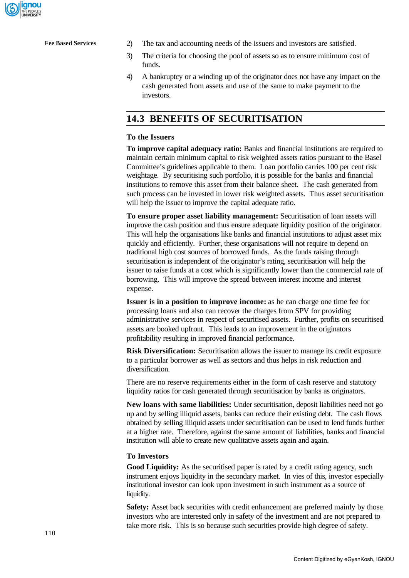

- **Fee Based Services** 2) The tax and accounting needs of the issuers and investors are satisfied.
	- 3) The criteria for choosing the pool of assets so as to ensure minimum cost of funds.
	- 4) A bankruptcy or a winding up of the originator does not have any impact on the cash generated from assets and use of the same to make payment to the investors.

# **14.3 BENEFITS OF SECURITISATION**

### **To the Issuers**

**To improve capital adequacy ratio:** Banks and financial institutions are required to maintain certain minimum capital to risk weighted assets ratios pursuant to the Basel Committee's guidelines applicable to them. Loan portfolio carries 100 per cent risk weightage. By securitising such portfolio, it is possible for the banks and financial institutions to remove this asset from their balance sheet. The cash generated from such process can be invested in lower risk weighted assets. Thus asset securitisation will help the issuer to improve the capital adequate ratio.

**To ensure proper asset liability management:** Securitisation of loan assets will improve the cash position and thus ensure adequate liquidity position of the originator. This will help the organisations like banks and financial institutions to adjust asset mix quickly and efficiently. Further, these organisations will not require to depend on traditional high cost sources of borrowed funds. As the funds raising through securitisation is independent of the originator's rating, securitisation will help the issuer to raise funds at a cost which is significantly lower than the commercial rate of borrowing. This will improve the spread between interest income and interest expense.

**Issuer is in a position to improve income:** as he can charge one time fee for processing loans and also can recover the charges from SPV for providing administrative services in respect of securitised assets. Further, profits on securitised assets are booked upfront. This leads to an improvement in the originators profitability resulting in improved financial performance.

**Risk Diversification:** Securitisation allows the issuer to manage its credit exposure to a particular borrower as well as sectors and thus helps in risk reduction and diversification.

There are no reserve requirements either in the form of cash reserve and statutory liquidity ratios for cash generated through securitisation by banks as originators.

**New loans with same liabilities:** Under securitisation, deposit liabilities need not go up and by selling illiquid assets, banks can reduce their existing debt. The cash flows obtained by selling illiquid assets under securitisation can be used to lend funds further at a higher rate. Therefore, against the same amount of liabilities, banks and financial institution will able to create new qualitative assets again and again.

### **To Investors**

Good Liquidity: As the securitised paper is rated by a credit rating agency, such instrument enjoys liquidity in the secondary market. In vies of this, investor especially institutional investor can look upon investment in such instrument as a source of liquidity.

**Safety:** Asset back securities with credit enhancement are preferred mainly by those investors who are interested only in safety of the investment and are not prepared to take more risk. This is so because such securities provide high degree of safety.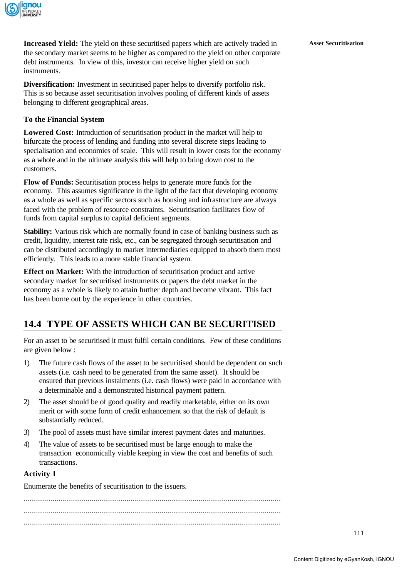

**Increased Yield:** The yield on these securitised papers which are actively traded in **Asset Securitisation** the secondary market seems to be higher as compared to the yield on other corporate debt instruments. In view of this, investor can receive higher yield on such instruments.

**Diversification:** Investment in securitised paper helps to diversify portfolio risk. This is so because asset securitisation involves pooling of different kinds of assets belonging to different geographical areas.

### **To the Financial System**

Lowered Cost: Introduction of securitisation product in the market will help to bifurcate the process of lending and funding into several discrete steps leading to specialisation and economies of scale. This will result in lower costs for the economy as a whole and in the ultimate analysis this will help to bring down cost to the customers.

**Flow of Funds:** Securitisation process helps to generate more funds for the economy. This assumes significance in the light of the fact that developing economy as a whole as well as specific sectors such as housing and infrastructure are always faced with the problem of resource constraints. Securitisation facilitates flow of funds from capital surplus to capital deficient segments.

**Stability:** Various risk which are normally found in case of banking business such as credit, liquidity, interest rate risk, etc., can be segregated through securitisation and can be distributed accordingly to market intermediaries equipped to absorb them most efficiently. This leads to a more stable financial system.

**Effect on Market:** With the introduction of securitisation product and active secondary market for securitised instruments or papers the debt market in the economy as a whole is likely to attain further depth and become vibrant. This fact has been borne out by the experience in other countries.

# **14.4 TYPE OF ASSETS WHICH CAN BE SECURITISED**

For an asset to be securitised it must fulfil certain conditions. Few of these conditions are given below :

- 1) The future cash flows of the asset to be securitised should be dependent on such assets (i.e. cash need to be generated from the same asset). It should be ensured that previous instalments (i.e. cash flows) were paid in accordance with a determinable and a demonstrated historical payment pattern.
- 2) The asset should be of good quality and readily marketable, either on its own merit or with some form of credit enhancement so that the risk of default is substantially reduced.
- 3) The pool of assets must have similar interest payment dates and maturities.
- 4) The value of assets to be securitised must be large enough to make the transaction economically viable keeping in view the cost and benefits of such transactions.

### **Activity 1**

Enumerate the benefits of securitisation to the issuers.

............................................................................................................................. ............................................................................................................................. .............................................................................................................................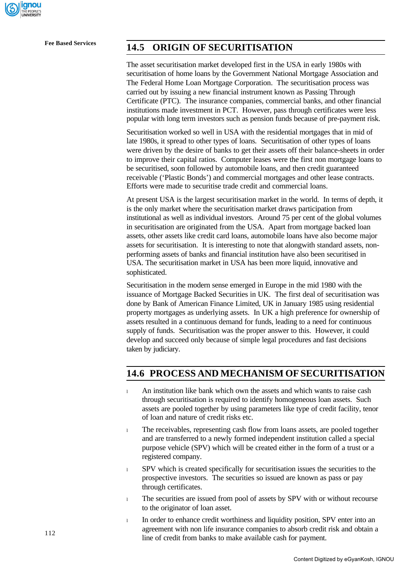

# **Fee Based Services 14.5 ORIGIN OF SECURITISATION**

The asset securitisation market developed first in the USA in early 1980s with securitisation of home loans by the Government National Mortgage Association and The Federal Home Loan Mortgage Corporation. The securitisation process was carried out by issuing a new financial instrument known as Passing Through Certificate (PTC). The insurance companies, commercial banks, and other financial institutions made investment in PCT. However, pass through certificates were less popular with long term investors such as pension funds because of pre-payment risk.

Securitisation worked so well in USA with the residential mortgages that in mid of late 1980s, it spread to other types of loans. Securitisation of other types of loans were driven by the desire of banks to get their assets off their balance-sheets in order to improve their capital ratios. Computer leases were the first non mortgage loans to be securitised, soon followed by automobile loans, and then credit guaranteed receivable ('Plastic Bonds') and commercial mortgages and other lease contracts. Efforts were made to securitise trade credit and commercial loans.

At present USA is the largest securitisation market in the world. In terms of depth, it is the only market where the securitisation market draws participation from institutional as well as individual investors. Around 75 per cent of the global volumes in securitisation are originated from the USA. Apart from mortgage backed loan assets, other assets like credit card loans, automobile loans have also become major assets for securitisation. It is interesting to note that alongwith standard assets, nonperforming assets of banks and financial institution have also been securitised in USA. The securitisation market in USA has been more liquid, innovative and sophisticated.

Securitisation in the modern sense emerged in Europe in the mid 1980 with the issuance of Mortgage Backed Securities in UK. The first deal of securitisation was done by Bank of American Finance Limited, UK in January 1985 using residential property mortgages as underlying assets. In UK a high preference for ownership of assets resulted in a continuous demand for funds, leading to a need for continuous supply of funds. Securitisation was the proper answer to this. However, it could develop and succeed only because of simple legal procedures and fast decisions taken by judiciary.

# **14.6 PROCESS AND MECHANISM OF SECURITISATION**

- <sup>l</sup> An institution like bank which own the assets and which wants to raise cash through securitisation is required to identify homogeneous loan assets. Such assets are pooled together by using parameters like type of credit facility, tenor of loan and nature of credit risks etc.
- <sup>l</sup> The receivables, representing cash flow from loans assets, are pooled together and are transferred to a newly formed independent institution called a special purpose vehicle (SPV) which will be created either in the form of a trust or a registered company.
- <sup>l</sup> SPV which is created specifically for securitisation issues the securities to the prospective investors. The securities so issued are known as pass or pay through certificates.
- <sup>l</sup> The securities are issued from pool of assets by SPV with or without recourse to the originator of loan asset.
- <sup>l</sup> In order to enhance credit worthiness and liquidity position, SPV enter into an agreement with non life insurance companies to absorb credit risk and obtain a line of credit from banks to make available cash for payment.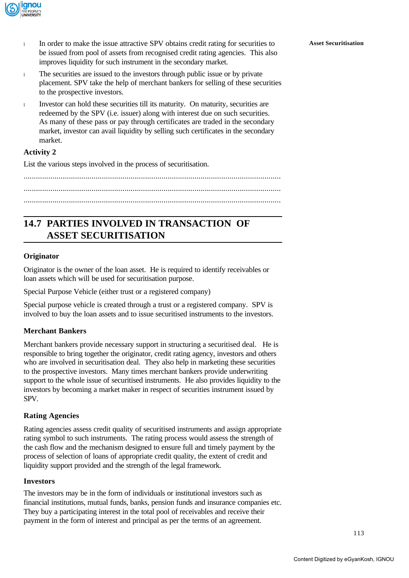

- <sup>l</sup> In order to make the issue attractive SPV obtains credit rating for securities to **Asset Securitisation** be issued from pool of assets from recognised credit rating agencies. This also improves liquidity for such instrument in the secondary market.
- <sup>l</sup> The securities are issued to the investors through public issue or by private placement. SPV take the help of merchant bankers for selling of these securities to the prospective investors.
- <sup>l</sup> Investor can hold these securities till its maturity. On maturity, securities are redeemed by the SPV (i.e. issuer) along with interest due on such securities. As many of these pass or pay through certificates are traded in the secondary market, investor can avail liquidity by selling such certificates in the secondary market.

### **Activity 2**

List the various steps involved in the process of securitisation.

............................................................................................................................. ............................................................................................................................. .............................................................................................................................

# **14.7 PARTIES INVOLVED IN TRANSACTION OF ASSET SECURITISATION**

### **Originator**

Originator is the owner of the loan asset. He is required to identify receivables or loan assets which will be used for securitisation purpose.

Special Purpose Vehicle (either trust or a registered company)

Special purpose vehicle is created through a trust or a registered company. SPV is involved to buy the loan assets and to issue securitised instruments to the investors.

### **Merchant Bankers**

Merchant bankers provide necessary support in structuring a securitised deal. He is responsible to bring together the originator, credit rating agency, investors and others who are involved in securitisation deal. They also help in marketing these securities to the prospective investors. Many times merchant bankers provide underwriting support to the whole issue of securitised instruments. He also provides liquidity to the investors by becoming a market maker in respect of securities instrument issued by SPV.

### **Rating Agencies**

Rating agencies assess credit quality of securitised instruments and assign appropriate rating symbol to such instruments. The rating process would assess the strength of the cash flow and the mechanism designed to ensure full and timely payment by the process of selection of loans of appropriate credit quality, the extent of credit and liquidity support provided and the strength of the legal framework.

### **Investors**

The investors may be in the form of individuals or institutional investors such as financial institutions, mutual funds, banks, pension funds and insurance companies etc. They buy a participating interest in the total pool of receivables and receive their payment in the form of interest and principal as per the terms of an agreement.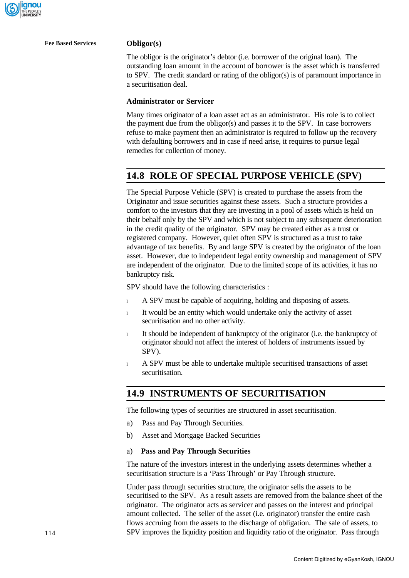

**Fee Based Services Obligor(s)**

The obligor is the originator's debtor (i.e. borrower of the original loan). The outstanding loan amount in the account of borrower is the asset which is transferred to SPV. The credit standard or rating of the obligor(s) is of paramount importance in a securitisation deal.

### **Administrator or Servicer**

Many times originator of a loan asset act as an administrator. His role is to collect the payment due from the obligor(s) and passes it to the SPV. In case borrowers refuse to make payment then an administrator is required to follow up the recovery with defaulting borrowers and in case if need arise, it requires to pursue legal remedies for collection of money.

## **14.8 ROLE OF SPECIAL PURPOSE VEHICLE (SPV)**

The Special Purpose Vehicle (SPV) is created to purchase the assets from the Originator and issue securities against these assets. Such a structure provides a comfort to the investors that they are investing in a pool of assets which is held on their behalf only by the SPV and which is not subject to any subsequent deterioration in the credit quality of the originator. SPV may be created either as a trust or registered company. However, quiet often SPV is structured as a trust to take advantage of tax benefits. By and large SPV is created by the originator of the loan asset. However, due to independent legal entity ownership and management of SPV are independent of the originator. Due to the limited scope of its activities, it has no bankruptcy risk.

SPV should have the following characteristics :

- 1 A SPV must be capable of acquiring, holding and disposing of assets.
- <sup>l</sup> It would be an entity which would undertake only the activity of asset securitisation and no other activity.
- <sup>l</sup> It should be independent of bankruptcy of the originator (i.e. the bankruptcy of originator should not affect the interest of holders of instruments issued by SPV).
- <sup>l</sup> A SPV must be able to undertake multiple securitised transactions of asset securitisation.

### **14.9 INSTRUMENTS OF SECURITISATION**

The following types of securities are structured in asset securitisation.

- a) Pass and Pay Through Securities.
- b) Asset and Mortgage Backed Securities

### a) **Pass and Pay Through Securities**

The nature of the investors interest in the underlying assets determines whether a securitisation structure is a 'Pass Through' or Pay Through structure.

Under pass through securities structure, the originator sells the assets to be securitised to the SPV. As a result assets are removed from the balance sheet of the originator. The originator acts as servicer and passes on the interest and principal amount collected. The seller of the asset (i.e. originator) transfer the entire cash flows accruing from the assets to the discharge of obligation. The sale of assets, to SPV improves the liquidity position and liquidity ratio of the originator. Pass through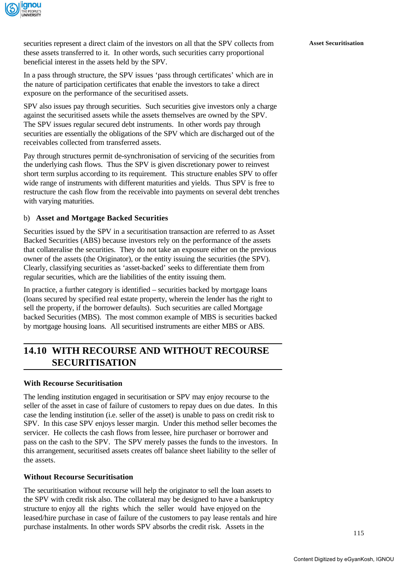

securities represent a direct claim of the investors on all that the SPV collects from **Asset Securitisation** these assets transferred to it. In other words, such securities carry proportional beneficial interest in the assets held by the SPV.

In a pass through structure, the SPV issues 'pass through certificates' which are in the nature of participation certificates that enable the investors to take a direct exposure on the performance of the securitised assets.

SPV also issues pay through securities. Such securities give investors only a charge against the securitised assets while the assets themselves are owned by the SPV. The SPV issues regular secured debt instruments. In other words pay through securities are essentially the obligations of the SPV which are discharged out of the receivables collected from transferred assets.

Pay through structures permit de-synchronisation of servicing of the securities from the underlying cash flows. Thus the SPV is given discretionary power to reinvest short term surplus according to its requirement. This structure enables SPV to offer wide range of instruments with different maturities and yields. Thus SPV is free to restructure the cash flow from the receivable into payments on several debt trenches with varying maturities.

### b) **Asset and Mortgage Backed Securities**

Securities issued by the SPV in a securitisation transaction are referred to as Asset Backed Securities (ABS) because investors rely on the performance of the assets that collateralise the securities. They do not take an exposure either on the previous owner of the assets (the Originator), or the entity issuing the securities (the SPV). Clearly, classifying securities as 'asset-backed' seeks to differentiate them from regular securities, which are the liabilities of the entity issuing them.

In practice, a further category is identified – securities backed by mortgage loans (loans secured by specified real estate property, wherein the lender has the right to sell the property, if the borrower defaults). Such securities are called Mortgage backed Securities (MBS). The most common example of MBS is securities backed by mortgage housing loans. All securitised instruments are either MBS or ABS.

# **14.10 WITH RECOURSE AND WITHOUT RECOURSE SECURITISATION**

### **With Recourse Securitisation**

The lending institution engaged in securitisation or SPV may enjoy recourse to the seller of the asset in case of failure of customers to repay dues on due dates. In this case the lending institution (i.e. seller of the asset) is unable to pass on credit risk to SPV. In this case SPV enjoys lesser margin. Under this method seller becomes the servicer. He collects the cash flows from lessee, hire purchaser or borrower and pass on the cash to the SPV. The SPV merely passes the funds to the investors. In this arrangement, securitised assets creates off balance sheet liability to the seller of the assets.

### **Without Recourse Securitisation**

The securitisation without recourse will help the originator to sell the loan assets to the SPV with credit risk also. The collateral may be designed to have a bankruptcy structure to enjoy all the rights which the seller would have enjoyed on the leased/hire purchase in case of failure of the customers to pay lease rentals and hire purchase instalments. In other words SPV absorbs the credit risk. Assets in the

115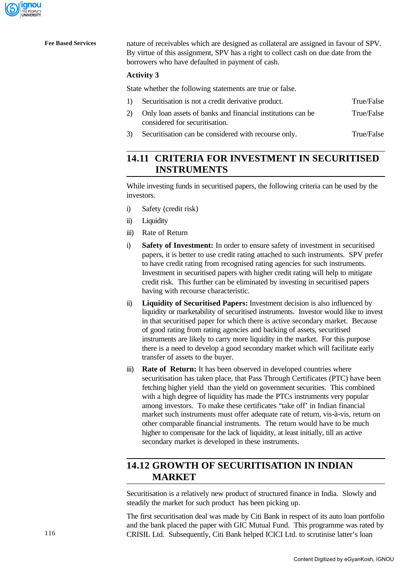

**Fee Based Services** nature of receivables which are designed as collateral are assigned in favour of SPV. By virtue of this assignment, SPV has a right to collect cash on due date from the borrowers who have defaulted in payment of cash.

### **Activity 3**

State whether the following statements are true or false.

| $\left  \right $ | Securitisation is not a credit derivative product.                                               | True/False |
|------------------|--------------------------------------------------------------------------------------------------|------------|
|                  | 2) Only loan assets of banks and financial institutions can be<br>considered for securitisation. | True/False |
|                  |                                                                                                  |            |

3) Securitisation can be considered with recourse only. True/False

# **14.11 CRITERIA FOR INVESTMENT IN SECURITISED INSTRUMENTS**

While investing funds in securitised papers, the following criteria can be used by the investors.

- i) Safety (credit risk)
- ii) Liquidity
- iii) Rate of Return
- i) **Safety of Investment:** In order to ensure safety of investment in securitised papers, it is better to use credit rating attached to such instruments. SPV prefer to have credit rating from recognised rating agencies for such instruments. Investment in securitised papers with higher credit rating will help to mitigate credit risk. This further can be eliminated by investing in securitised papers having with recourse characteristic.
- ii) **Liquidity of Securitised Papers:** Investment decision is also influenced by liquidity or marketability of securitised instruments. Investor would like to invest in that securitised paper for which there is active secondary market. Because of good rating from rating agencies and backing of assets, securitised instruments are likely to carry more liquidity in the market. For this purpose there is a need to develop a good secondary market which will facilitate early transfer of assets to the buyer.
- iii) **Rate of Return:** It has been observed in developed countries where securitisation has taken place, that Pass Through Certificates (PTC) have been fetching higher yield than the yield on government securities. This combined with a high degree of liquidity has made the PTCs instruments very popular among investors. To make these certificates "take off' in Indian financial market such instruments must offer adequate rate of return, vis-à-vis, return on other comparable financial instruments. The return would have to be much higher to compensate for the lack of liquidity, at least initially, till an active secondary market is developed in these instruments.

# **14.12 GROWTH OF SECURITISATION IN INDIAN MARKET**

Securitisation is a relatively new product of structured finance in India. Slowly and steadily the market for such product has been picking up.

The first securitisation deal was made by Citi Bank in respect of its auto loan portfolio and the bank placed the paper with GIC Mutual Fund. This programme was rated by CRISIL Ltd. Subsequently, Citi Bank helped ICICI Ltd. to scrutinise latter's loan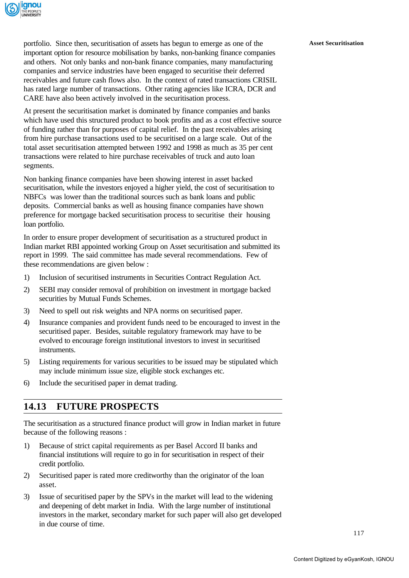

portfolio. Since then, securitisation of assets has begun to emerge as one of the **Asset Securitisation** important option for resource mobilisation by banks, non-banking finance companies and others. Not only banks and non-bank finance companies, many manufacturing companies and service industries have been engaged to securitise their deferred receivables and future cash flows also. In the context of rated transactions CRISIL has rated large number of transactions. Other rating agencies like ICRA, DCR and CARE have also been actively involved in the securitisation process.

At present the securitisation market is dominated by finance companies and banks which have used this structured product to book profits and as a cost effective source of funding rather than for purposes of capital relief. In the past receivables arising from hire purchase transactions used to be securitised on a large scale. Out of the total asset securitisation attempted between 1992 and 1998 as much as 35 per cent transactions were related to hire purchase receivables of truck and auto loan segments.

Non banking finance companies have been showing interest in asset backed securitisation, while the investors enjoyed a higher yield, the cost of securitisation to NBFCs was lower than the traditional sources such as bank loans and public deposits. Commercial banks as well as housing finance companies have shown preference for mortgage backed securitisation process to securitise their housing loan portfolio.

In order to ensure proper development of securitisation as a structured product in Indian market RBI appointed working Group on Asset securitisation and submitted its report in 1999. The said committee has made several recommendations. Few of these recommendations are given below :

- 1) Inclusion of securitised instruments in Securities Contract Regulation Act.
- 2) SEBI may consider removal of prohibition on investment in mortgage backed securities by Mutual Funds Schemes.
- 3) Need to spell out risk weights and NPA norms on securitised paper.
- 4) Insurance companies and provident funds need to be encouraged to invest in the securitised paper. Besides, suitable regulatory framework may have to be evolved to encourage foreign institutional investors to invest in securitised instruments.
- 5) Listing requirements for various securities to be issued may be stipulated which may include minimum issue size, eligible stock exchanges etc.
- 6) Include the securitised paper in demat trading.

# **14.13 FUTURE PROSPECTS**

The securitisation as a structured finance product will grow in Indian market in future because of the following reasons :

- 1) Because of strict capital requirements as per Basel Accord II banks and financial institutions will require to go in for securitisation in respect of their credit portfolio.
- 2) Securitised paper is rated more creditworthy than the originator of the loan asset.
- 3) Issue of securitised paper by the SPVs in the market will lead to the widening and deepening of debt market in India. With the large number of institutional investors in the market, secondary market for such paper will also get developed in due course of time.